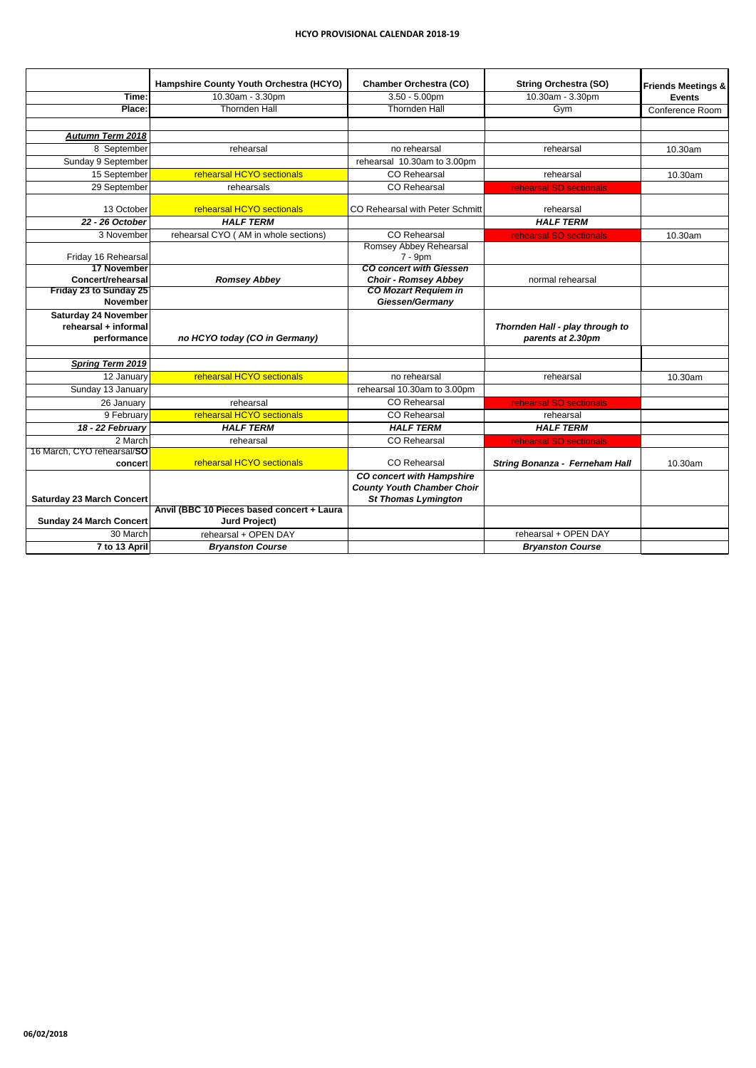|                                         | Hampshire County Youth Orchestra (HCYO)    | <b>Chamber Orchestra (CO)</b>                                         | <b>String Orchestra (SO)</b>          | <b>Friends Meetings &amp;</b> |
|-----------------------------------------|--------------------------------------------|-----------------------------------------------------------------------|---------------------------------------|-------------------------------|
| Time:                                   | 10.30am - 3.30pm                           | $3.50 - 5.00$ pm                                                      | 10.30am - 3.30pm                      | <b>Events</b>                 |
| Place:                                  | <b>Thornden Hall</b>                       | <b>Thornden Hall</b>                                                  | Gym                                   | Conference Room               |
|                                         |                                            |                                                                       |                                       |                               |
| <b>Autumn Term 2018</b>                 |                                            |                                                                       |                                       |                               |
| 8 September                             | rehearsal                                  | no rehearsal                                                          | rehearsal                             | 10.30am                       |
| Sunday 9 September                      |                                            | rehearsal 10.30am to 3.00pm                                           |                                       |                               |
| 15 September                            | rehearsal HCYO sectionals                  | <b>CO</b> Rehearsal                                                   | rehearsal                             | 10.30am                       |
| 29 September                            | rehearsals                                 | <b>CO</b> Rehearsal                                                   | rehearsal SO sectionals               |                               |
| 13 October                              | rehearsal HCYO sectionals                  | CO Rehearsal with Peter Schmitt                                       | rehearsal                             |                               |
| 22 - 26 October                         | <b>HALF TERM</b>                           |                                                                       | <b>HALF TERM</b>                      |                               |
| 3 November                              | rehearsal CYO (AM in whole sections)       | <b>CO</b> Rehearsal                                                   | rehearsal SO sectionals               | 10.30am                       |
|                                         |                                            | <b>Romsey Abbey Rehearsal</b>                                         |                                       |                               |
| Friday 16 Rehearsal                     |                                            | 7 - 9pm                                                               |                                       |                               |
| <b>17 November</b><br>Concert/rehearsal | <b>Romsey Abbey</b>                        | <b>CO concert with Giessen</b><br><b>Choir - Romsey Abbey</b>         | normal rehearsal                      |                               |
| Friday 23 to Sunday 25                  |                                            | <b>CO Mozart Requiem in</b>                                           |                                       |                               |
| <b>November</b>                         |                                            | Giessen/Germany                                                       |                                       |                               |
| <b>Saturday 24 November</b>             |                                            |                                                                       |                                       |                               |
| rehearsal + informal                    |                                            |                                                                       | Thornden Hall - play through to       |                               |
| performance                             | no HCYO today (CO in Germany)              |                                                                       | parents at 2.30pm                     |                               |
|                                         |                                            |                                                                       |                                       |                               |
| <b>Spring Term 2019</b>                 |                                            |                                                                       |                                       |                               |
| 12 January                              | rehearsal HCYO sectionals                  | no rehearsal                                                          | rehearsal                             | 10.30am                       |
| Sunday 13 January                       |                                            | rehearsal 10.30am to 3.00pm                                           |                                       |                               |
| 26 January                              | rehearsal                                  | <b>CO</b> Rehearsal                                                   | rehearsal SO sectionals               |                               |
| 9 February                              | rehearsal HCYO sectionals                  | <b>CO</b> Rehearsal                                                   | rehearsal                             |                               |
| 18 - 22 February                        | <b>HALF TERM</b>                           | <b>HALF TERM</b>                                                      | <b>HALF TERM</b>                      |                               |
| 2 March                                 | rehearsal                                  | <b>CO</b> Rehearsal                                                   | rehearsal SO sectionals               |                               |
| 16 March, CYO rehearsal/SO              |                                            |                                                                       |                                       |                               |
| concert                                 | rehearsal HCYO sectionals                  | <b>CO</b> Rehearsal                                                   | <b>String Bonanza - Ferneham Hall</b> | 10.30am                       |
|                                         |                                            | <b>CO concert with Hampshire</b><br><b>County Youth Chamber Choir</b> |                                       |                               |
| Saturday 23 March Concert               |                                            | <b>St Thomas Lymington</b>                                            |                                       |                               |
|                                         | Anvil (BBC 10 Pieces based concert + Laura |                                                                       |                                       |                               |
| Sunday 24 March Concert                 | <b>Jurd Project)</b>                       |                                                                       |                                       |                               |
| 30 March                                | rehearsal + OPEN DAY                       |                                                                       | rehearsal + OPEN DAY                  |                               |
| 7 to 13 April                           | <b>Bryanston Course</b>                    |                                                                       | <b>Bryanston Course</b>               |                               |

**06/02/2018**